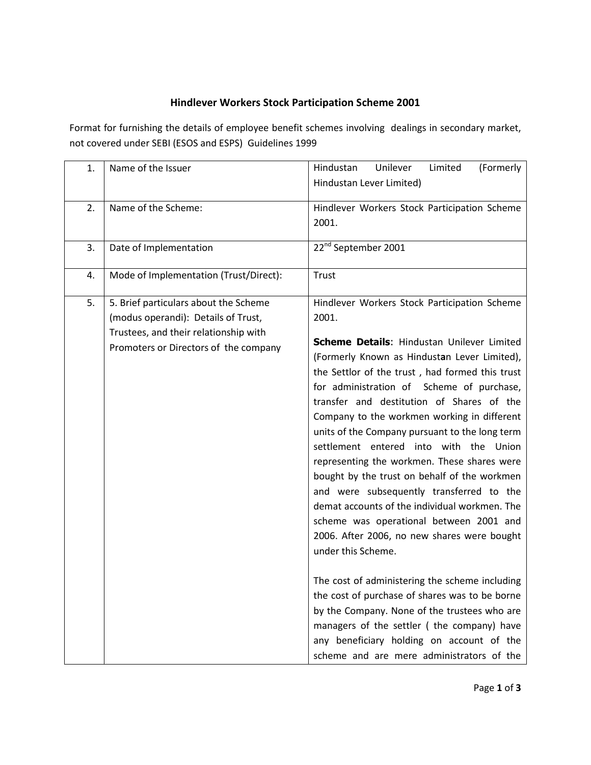## **Hindlever Workers Stock Participation Scheme 2001**

Format for furnishing the details of employee benefit schemes involving dealings in secondary market, not covered under SEBI (ESOS and ESPS) Guidelines 1999

| 1. | Name of the Issuer                                                                                                                                             | Limited<br>(Formerly<br>Hindustan<br>Unilever<br>Hindustan Lever Limited)                                                                                                                                                                                                                                                                                                                                                                                                                                                                                                                                                                                                                                                                                                                                                                                                                                                                                                                                                                           |  |  |  |  |  |  |
|----|----------------------------------------------------------------------------------------------------------------------------------------------------------------|-----------------------------------------------------------------------------------------------------------------------------------------------------------------------------------------------------------------------------------------------------------------------------------------------------------------------------------------------------------------------------------------------------------------------------------------------------------------------------------------------------------------------------------------------------------------------------------------------------------------------------------------------------------------------------------------------------------------------------------------------------------------------------------------------------------------------------------------------------------------------------------------------------------------------------------------------------------------------------------------------------------------------------------------------------|--|--|--|--|--|--|
| 2. | Name of the Scheme:                                                                                                                                            | Hindlever Workers Stock Participation Scheme<br>2001.                                                                                                                                                                                                                                                                                                                                                                                                                                                                                                                                                                                                                                                                                                                                                                                                                                                                                                                                                                                               |  |  |  |  |  |  |
| 3. | Date of Implementation                                                                                                                                         | 22 <sup>nd</sup> September 2001                                                                                                                                                                                                                                                                                                                                                                                                                                                                                                                                                                                                                                                                                                                                                                                                                                                                                                                                                                                                                     |  |  |  |  |  |  |
| 4. | Mode of Implementation (Trust/Direct):                                                                                                                         | Trust                                                                                                                                                                                                                                                                                                                                                                                                                                                                                                                                                                                                                                                                                                                                                                                                                                                                                                                                                                                                                                               |  |  |  |  |  |  |
| 5. | 5. Brief particulars about the Scheme<br>(modus operandi): Details of Trust,<br>Trustees, and their relationship with<br>Promoters or Directors of the company | Hindlever Workers Stock Participation Scheme<br>2001.<br>Scheme Details: Hindustan Unilever Limited<br>(Formerly Known as Hindustan Lever Limited),<br>the Settlor of the trust, had formed this trust<br>for administration of Scheme of purchase,<br>transfer and destitution of Shares of the<br>Company to the workmen working in different<br>units of the Company pursuant to the long term<br>settlement entered into with the Union<br>representing the workmen. These shares were<br>bought by the trust on behalf of the workmen<br>and were subsequently transferred to the<br>demat accounts of the individual workmen. The<br>scheme was operational between 2001 and<br>2006. After 2006, no new shares were bought<br>under this Scheme.<br>The cost of administering the scheme including<br>the cost of purchase of shares was to be borne<br>by the Company. None of the trustees who are<br>managers of the settler (the company) have<br>any beneficiary holding on account of the<br>scheme and are mere administrators of the |  |  |  |  |  |  |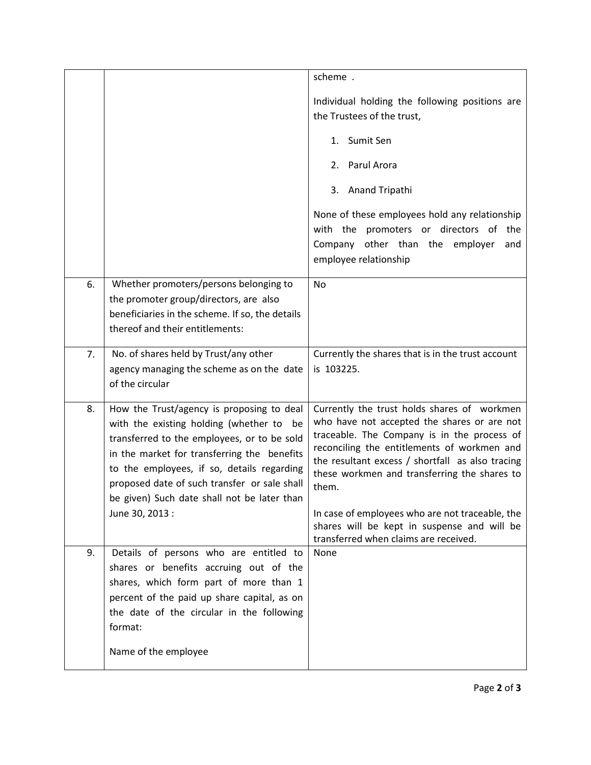|    |                                                                                                                                                                                                                                                                                                                                  | scheme.                                                                                                                                                                                                                                                                                               |
|----|----------------------------------------------------------------------------------------------------------------------------------------------------------------------------------------------------------------------------------------------------------------------------------------------------------------------------------|-------------------------------------------------------------------------------------------------------------------------------------------------------------------------------------------------------------------------------------------------------------------------------------------------------|
|    |                                                                                                                                                                                                                                                                                                                                  | Individual holding the following positions are<br>the Trustees of the trust,                                                                                                                                                                                                                          |
|    |                                                                                                                                                                                                                                                                                                                                  | 1. Sumit Sen                                                                                                                                                                                                                                                                                          |
|    |                                                                                                                                                                                                                                                                                                                                  | 2. Parul Arora                                                                                                                                                                                                                                                                                        |
|    |                                                                                                                                                                                                                                                                                                                                  | 3. Anand Tripathi                                                                                                                                                                                                                                                                                     |
|    |                                                                                                                                                                                                                                                                                                                                  | None of these employees hold any relationship<br>with the promoters or directors of the<br>Company other than the employer<br>and<br>employee relationship                                                                                                                                            |
| 6. | Whether promoters/persons belonging to                                                                                                                                                                                                                                                                                           | <b>No</b>                                                                                                                                                                                                                                                                                             |
|    | the promoter group/directors, are also<br>beneficiaries in the scheme. If so, the details                                                                                                                                                                                                                                        |                                                                                                                                                                                                                                                                                                       |
|    | thereof and their entitlements:                                                                                                                                                                                                                                                                                                  |                                                                                                                                                                                                                                                                                                       |
| 7. | No. of shares held by Trust/any other                                                                                                                                                                                                                                                                                            | Currently the shares that is in the trust account                                                                                                                                                                                                                                                     |
|    | agency managing the scheme as on the date<br>of the circular                                                                                                                                                                                                                                                                     | is 103225.                                                                                                                                                                                                                                                                                            |
| 8. | How the Trust/agency is proposing to deal<br>with the existing holding (whether to be<br>transferred to the employees, or to be sold<br>in the market for transferring the benefits<br>to the employees, if so, details regarding<br>proposed date of such transfer or sale shall<br>be given) Such date shall not be later than | Currently the trust holds shares of workmen<br>who have not accepted the shares or are not<br>traceable. The Company is in the process of<br>reconciling the entitlements of workmen and<br>the resultant excess / shortfall as also tracing<br>these workmen and transferring the shares to<br>them. |
|    | June 30, 2013 :                                                                                                                                                                                                                                                                                                                  | In case of employees who are not traceable, the<br>shares will be kept in suspense and will be<br>transferred when claims are received.                                                                                                                                                               |
| 9. | Details of persons who are entitled to<br>shares or benefits accruing out of the<br>shares, which form part of more than 1<br>percent of the paid up share capital, as on<br>the date of the circular in the following<br>format:                                                                                                | None                                                                                                                                                                                                                                                                                                  |
|    | Name of the employee                                                                                                                                                                                                                                                                                                             |                                                                                                                                                                                                                                                                                                       |